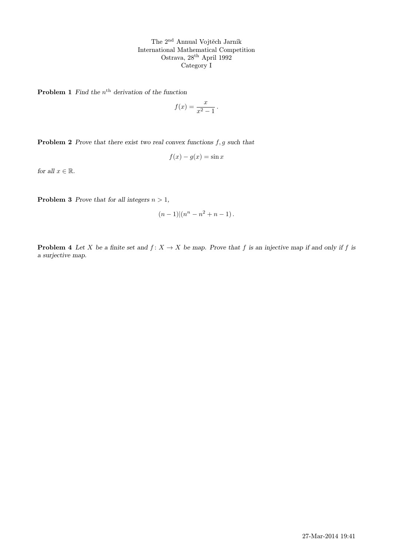The 2nd Annual Vojtěch Jarník International Mathematical Competition Ostrava, 28th April 1992 Category I

**Problem 1** Find the  $n^{\text{th}}$  derivation of the function

$$
f(x) = \frac{x}{x^2 - 1} \, .
$$

**Problem 2** Prove that there exist two real convex functions  $f, g$  such that

$$
f(x) - g(x) = \sin x
$$

for all  $x \in \mathbb{R}$ .

**Problem 3** Prove that for all integers  $n > 1$ ,

$$
(n-1)|(n^{n}-n^{2}+n-1).
$$

**Problem 4** Let X be a finite set and  $f: X \to X$  be map. Prove that f is an injective map if and only if f is a surjective map.